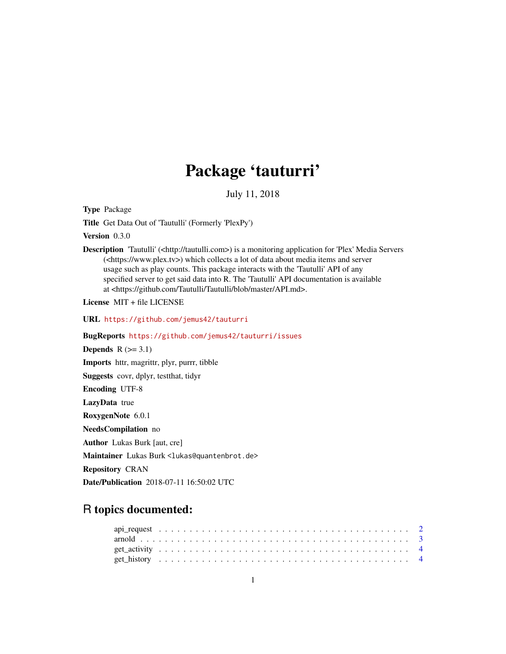# Package 'tauturri'

July 11, 2018

Type Package

Title Get Data Out of 'Tautulli' (Formerly 'PlexPy')

Version 0.3.0

Description 'Tautulli' (<http://tautulli.com>) is a monitoring application for 'Plex' Media Servers (<https://www.plex.tv>) which collects a lot of data about media items and server usage such as play counts. This package interacts with the 'Tautulli' API of any specified server to get said data into R. The 'Tautulli' API documentation is available at <https://github.com/Tautulli/Tautulli/blob/master/API.md>.

License MIT + file LICENSE

URL <https://github.com/jemus42/tauturri>

BugReports <https://github.com/jemus42/tauturri/issues>

Depends  $R$  ( $>= 3.1$ ) Imports httr, magrittr, plyr, purrr, tibble Suggests covr, dplyr, testthat, tidyr Encoding UTF-8 LazyData true RoxygenNote 6.0.1 NeedsCompilation no Author Lukas Burk [aut, cre] Maintainer Lukas Burk <lukas@quantenbrot.de> Repository CRAN

Date/Publication 2018-07-11 16:50:02 UTC

# R topics documented: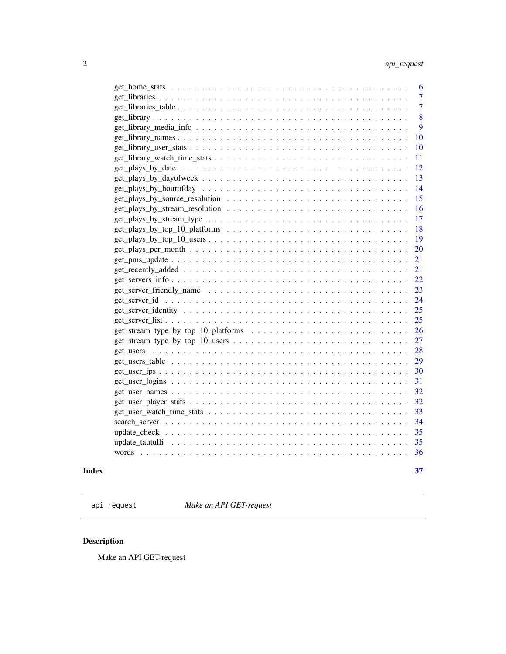<span id="page-1-0"></span>

| 6              |
|----------------|
| $\overline{7}$ |
| $\overline{7}$ |
| 8              |
| 9              |
| 10             |
| 10             |
| 11             |
| 12             |
| 13             |
| 14             |
| 15             |
| 16             |
| 17             |
| 18             |
| 19             |
| 20             |
| 21             |
| 21             |
| 22             |
| 23             |
| 24             |
| 25             |
| 25             |
| 26             |
| 27             |
| 28             |
| 29             |
|                |
| 30             |
| 31             |
| 32             |
| 32             |
| 33             |
| 34             |
| 35             |
| 35             |
| 36             |
|                |

#### **Index** [37](#page-36-0)

api\_request *Make an API GET-request*

# Description

Make an API GET-request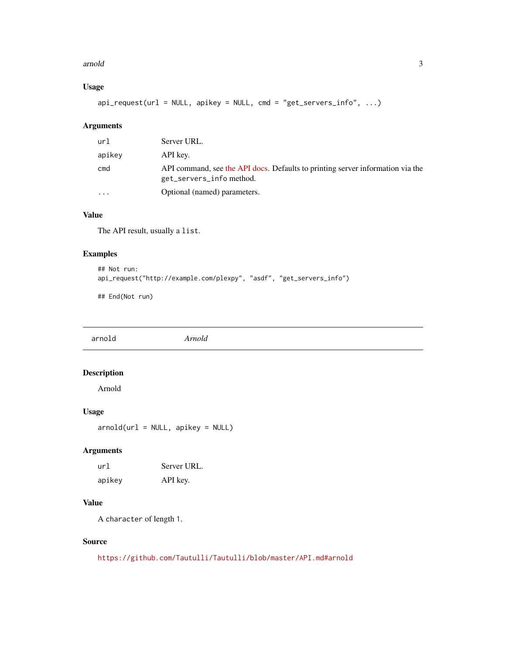#### <span id="page-2-0"></span>arnold 3

# Usage

 $api_request(url = NULL, apikey = NULL, cmd = "get_servers_info", ...)$ 

## Arguments

| apikey<br>API key.<br>cmd<br>get_servers_info method.<br>Optional (named) parameters.<br>$\cdots$ | ur1 | Server URL.                                                                    |
|---------------------------------------------------------------------------------------------------|-----|--------------------------------------------------------------------------------|
|                                                                                                   |     |                                                                                |
|                                                                                                   |     | API command, see the API docs. Defaults to printing server information via the |
|                                                                                                   |     |                                                                                |

# Value

The API result, usually a list.

## Examples

```
## Not run:
api_request("http://example.com/plexpy", "asdf", "get_servers_info")
```
## End(Not run)

arnold *Arnold*

# Description

Arnold

#### Usage

arnold(url = NULL, apikey = NULL)

# Arguments

| ur]    | Server URL. |
|--------|-------------|
| apikey | API key.    |

#### Value

A character of length 1.

# Source

<https://github.com/Tautulli/Tautulli/blob/master/API.md#arnold>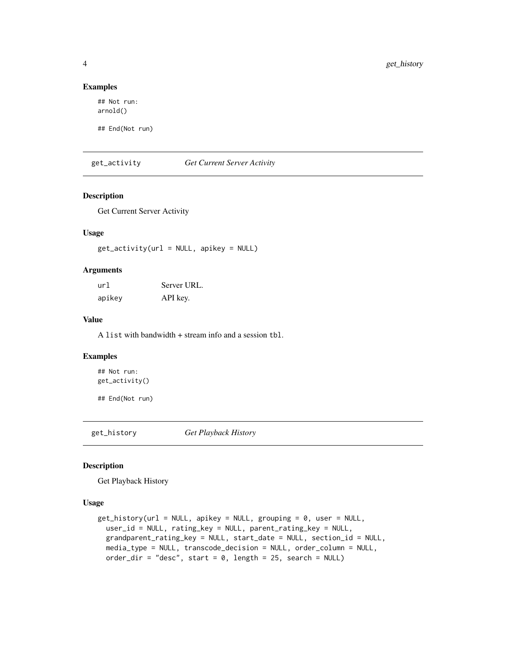#### Examples

## Not run: arnold()

## End(Not run)

get\_activity *Get Current Server Activity*

#### Description

Get Current Server Activity

# Usage

 $get\_activity(url = NULL, apikey = NULL)$ 

#### Arguments

| url    | Server URL. |
|--------|-------------|
| apikey | API key.    |

## Value

A list with bandwidth + stream info and a session tbl.

#### Examples

## Not run: get\_activity()

## End(Not run)

get\_history *Get Playback History*

#### Description

Get Playback History

#### Usage

```
get\_history(url = NULL, apikey = NULL, grouping = 0, user = NULL,user_id = NULL, rating_key = NULL, parent_rating_key = NULL,
 grandparent_rating_key = NULL, start_date = NULL, section_id = NULL,
 media_type = NULL, transcode_decision = NULL, order_column = NULL,
 order_dir = "desc", start = 0, length = 25, search = NULL)
```
<span id="page-3-0"></span>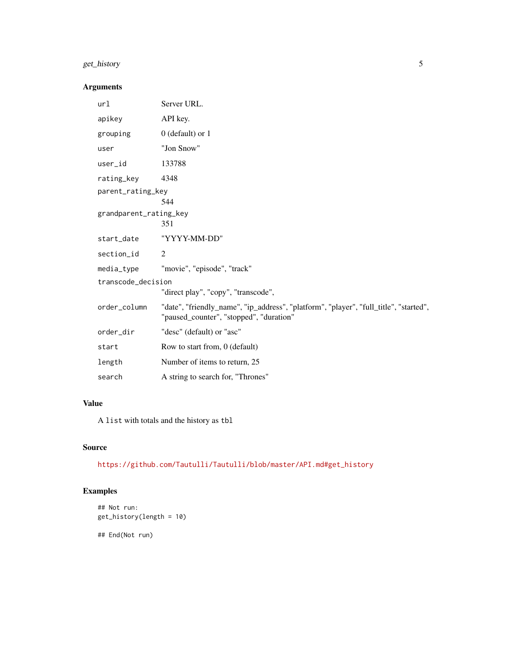# get\_history 5

# Arguments

| url                      | Server URL.                                                                                                                      |  |  |
|--------------------------|----------------------------------------------------------------------------------------------------------------------------------|--|--|
| apikey                   | API key.                                                                                                                         |  |  |
| grouping                 | $0$ (default) or $1$                                                                                                             |  |  |
| user                     | "Jon Snow"                                                                                                                       |  |  |
| user_id                  | 133788                                                                                                                           |  |  |
| rating_key               | 4348                                                                                                                             |  |  |
| parent_rating_key<br>544 |                                                                                                                                  |  |  |
| grandparent_rating_key   | 351                                                                                                                              |  |  |
| start_date               | "YYYY-MM-DD"                                                                                                                     |  |  |
| section_id               | 2                                                                                                                                |  |  |
| media_type               | "movie", "episode", "track"                                                                                                      |  |  |
| transcode_decision       |                                                                                                                                  |  |  |
|                          | "direct play", "copy", "transcode",                                                                                              |  |  |
| order_column             | "date", "friendly_name", "ip_address", "platform", "player", "full_title", "started",<br>"paused_counter", "stopped", "duration" |  |  |
| order_dir                | "desc" (default) or "asc"                                                                                                        |  |  |
| start                    | Row to start from, 0 (default)                                                                                                   |  |  |
| length                   | Number of items to return, 25                                                                                                    |  |  |
| search                   | A string to search for, "Thrones"                                                                                                |  |  |

#### Value

A list with totals and the history as tbl

## Source

[https://github.com/Tautulli/Tautulli/blob/master/API.md#get\\_history](https://github.com/Tautulli/Tautulli/blob/master/API.md#get_history)

# Examples

```
## Not run:
get_history(length = 10)
```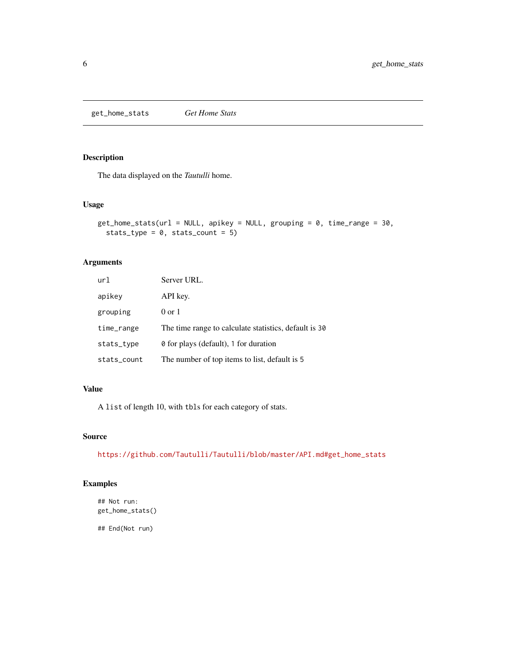<span id="page-5-0"></span>get\_home\_stats *Get Home Stats*

## Description

The data displayed on the *Tautulli* home.

#### Usage

```
get\_home\_stats(url = NULL, apikey = NULL, grouping = 0, time\_range = 30,stats_type = 0, stats_count = 5)
```
## Arguments

| url         | Server URL.                                                    |
|-------------|----------------------------------------------------------------|
| apikey      | API key.                                                       |
| grouping    | $0 \text{ or } 1$                                              |
| time_range  | The time range to calculate statistics, default is 30          |
| stats_type  | <b><math>\theta</math></b> for plays (default), 1 for duration |
| stats_count | The number of top items to list, default is 5                  |

#### Value

A list of length 10, with tbls for each category of stats.

#### Source

[https://github.com/Tautulli/Tautulli/blob/master/API.md#get\\_home\\_stats](https://github.com/Tautulli/Tautulli/blob/master/API.md#get_home_stats)

# Examples

```
## Not run:
get_home_stats()
```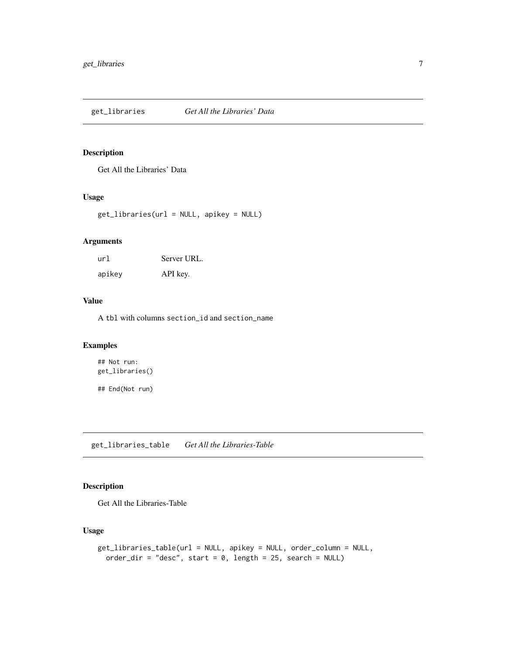<span id="page-6-0"></span>get\_libraries *Get All the Libraries' Data*

## Description

Get All the Libraries' Data

#### Usage

get\_libraries(url = NULL, apikey = NULL)

#### Arguments

| url    | Server URL. |
|--------|-------------|
| apikey | API key.    |

# Value

A tbl with columns section\_id and section\_name

# Examples

## Not run: get\_libraries()

## End(Not run)

get\_libraries\_table *Get All the Libraries-Table*

## Description

Get All the Libraries-Table

## Usage

```
get_libraries_table(url = NULL, apikey = NULL, order_column = NULL,
 order_dir = "desc", start = 0, length = 25, search = NULL)
```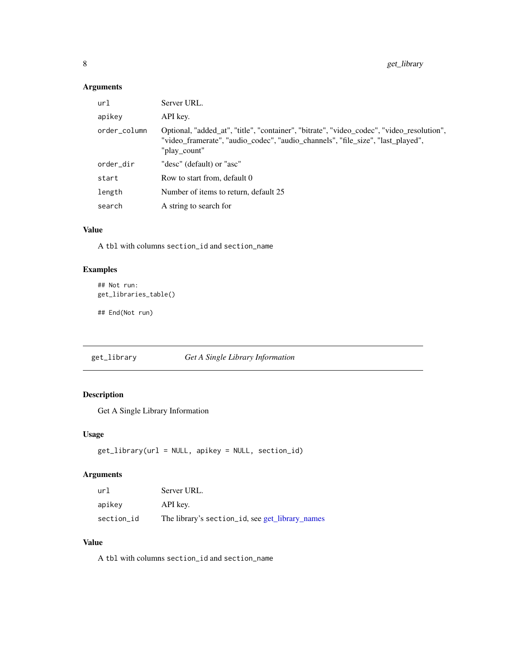# <span id="page-7-0"></span>Arguments

| url          | Server URL.                                                                                                                                                                                  |
|--------------|----------------------------------------------------------------------------------------------------------------------------------------------------------------------------------------------|
| apikey       | API key.                                                                                                                                                                                     |
| order_column | Optional, "added at", "title", "container", "bitrate", "video codec", "video resolution",<br>"video_framerate", "audio_codec", "audio_channels", "file_size", "last_played",<br>"play count" |
| order_dir    | "desc" (default) or "asc"                                                                                                                                                                    |
| start        | Row to start from, default 0                                                                                                                                                                 |
| length       | Number of items to return, default 25                                                                                                                                                        |
| search       | A string to search for                                                                                                                                                                       |

#### Value

A tbl with columns section\_id and section\_name

# Examples

```
## Not run:
get_libraries_table()
```
## End(Not run)

get\_library *Get A Single Library Information*

# Description

Get A Single Library Information

## Usage

```
get_library(url = NULL, apikey = NULL, section_id)
```
## Arguments

| url        | Server URL.                                     |
|------------|-------------------------------------------------|
| apikey     | API key.                                        |
| section_id | The library's section_id, see get_library_names |

# Value

A tbl with columns section\_id and section\_name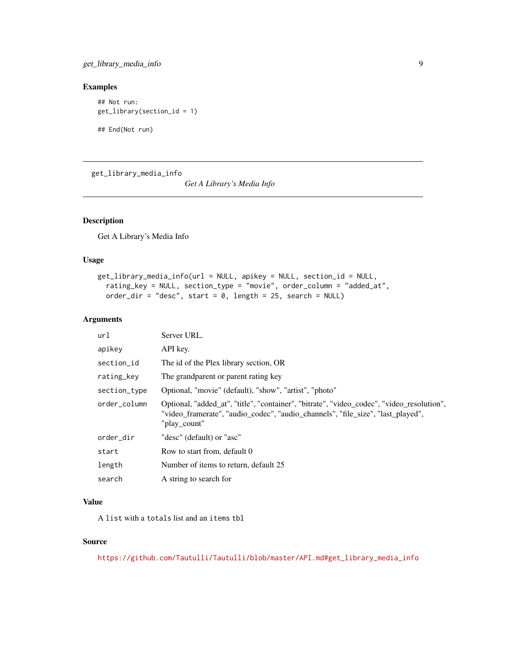<span id="page-8-0"></span>get\_library\_media\_info 9

#### Examples

```
## Not run:
get_library(section_id = 1)
```
## End(Not run)

get\_library\_media\_info

*Get A Library's Media Info*

# Description

Get A Library's Media Info

# Usage

```
get_library_media_info(url = NULL, apikey = NULL, section_id = NULL,
  rating_key = NULL, section_type = "movie", order_column = "added_at",
 order_dir = "desc", start = 0, length = 25, search = NULL)
```
#### Arguments

| url          | Server URL.                                                                                                                                                                                  |
|--------------|----------------------------------------------------------------------------------------------------------------------------------------------------------------------------------------------|
| apikey       | API key.                                                                                                                                                                                     |
| section_id   | The id of the Plex library section, OR                                                                                                                                                       |
| rating_key   | The grandparent or parent rating key                                                                                                                                                         |
| section_type | Optional, "movie" (default), "show", "artist", "photo"                                                                                                                                       |
| order_column | Optional, "added_at", "title", "container", "bitrate", "video_codec", "video_resolution",<br>"video_framerate", "audio_codec", "audio_channels", "file_size", "last_played",<br>"play count" |
| order_dir    | "desc" (default) or "asc"                                                                                                                                                                    |
| start        | Row to start from, default 0                                                                                                                                                                 |
| length       | Number of items to return, default 25                                                                                                                                                        |
| search       | A string to search for                                                                                                                                                                       |

#### Value

A list with a totals list and an items tbl

# Source

[https://github.com/Tautulli/Tautulli/blob/master/API.md#get\\_library\\_media\\_info](https://github.com/Tautulli/Tautulli/blob/master/API.md#get_library_media_info)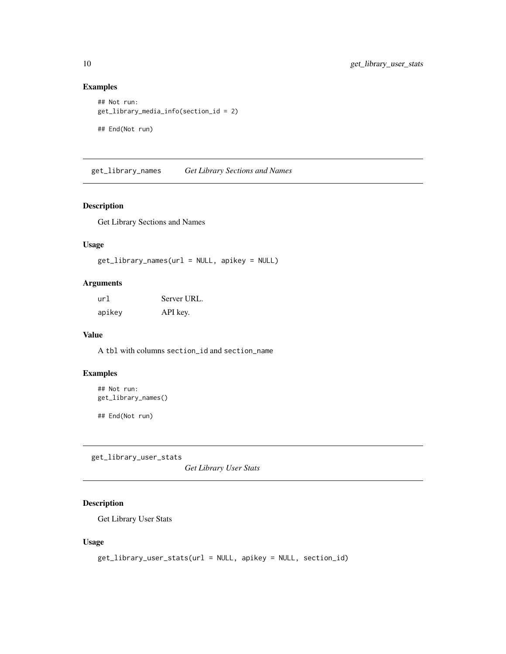#### Examples

```
## Not run:
get_library_media_info(section_id = 2)
## End(Not run)
```
<span id="page-9-1"></span>get\_library\_names *Get Library Sections and Names*

#### Description

Get Library Sections and Names

## Usage

```
get_library_names(url = NULL, apikey = NULL)
```
#### Arguments

| ur1    | Server URL. |
|--------|-------------|
| apikey | API key.    |

#### Value

A tbl with columns section\_id and section\_name

# Examples

```
## Not run:
get_library_names()
```
## End(Not run)

get\_library\_user\_stats

*Get Library User Stats*

## Description

Get Library User Stats

#### Usage

```
get_library_user_stats(url = NULL, apikey = NULL, section_id)
```
<span id="page-9-0"></span>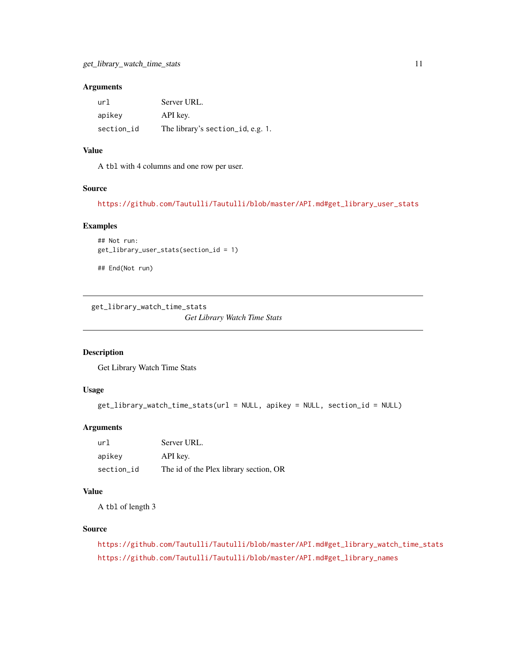#### <span id="page-10-0"></span>Arguments

| url        | Server URL.                       |
|------------|-----------------------------------|
| apikey     | API key.                          |
| section_id | The library's section_id, e.g. 1. |

## Value

A tbl with 4 columns and one row per user.

#### Source

[https://github.com/Tautulli/Tautulli/blob/master/API.md#get\\_library\\_user\\_stats](https://github.com/Tautulli/Tautulli/blob/master/API.md#get_library_user_stats)

## Examples

```
## Not run:
get_library_user_stats(section_id = 1)
```
## End(Not run)

get\_library\_watch\_time\_stats

*Get Library Watch Time Stats*

#### Description

Get Library Watch Time Stats

# Usage

```
get_library_watch_time_stats(url = NULL, apikey = NULL, section_id = NULL)
```
# Arguments

| url        | Server URL.                            |  |
|------------|----------------------------------------|--|
| apikey     | API key.                               |  |
| section id | The id of the Plex library section, OR |  |

# Value

A tbl of length 3

#### Source

```
https://github.com/Tautulli/Tautulli/blob/master/API.md#get_library_watch_time_stats
https://github.com/Tautulli/Tautulli/blob/master/API.md#get_library_names
```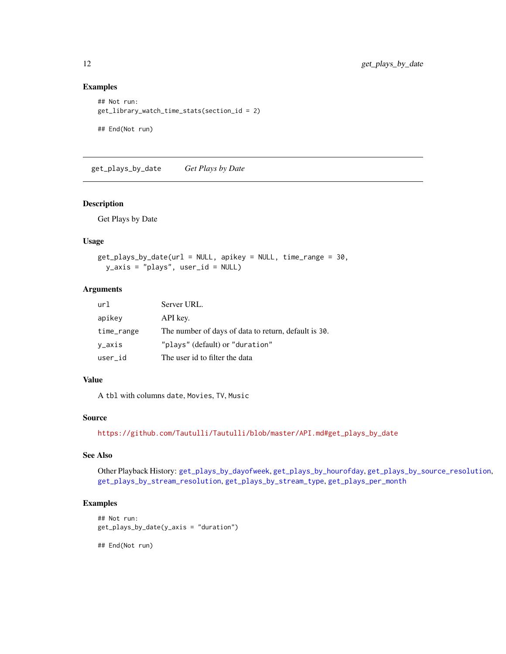## Examples

```
## Not run:
get_library_watch_time_stats(section_id = 2)
## End(Not run)
```
<span id="page-11-1"></span>get\_plays\_by\_date *Get Plays by Date*

## Description

Get Plays by Date

#### Usage

```
get_plays_by_date(url = NULL, apikey = NULL, time_range = 30,
 y_axis = "plays", user_id = NULL)
```
#### Arguments

| url        | Server URL.                                          |
|------------|------------------------------------------------------|
| apikey     | API key.                                             |
| time_range | The number of days of data to return, default is 30. |
| y_axis     | "plays" (default) or "duration"                      |
| user_id    | The user id to filter the data                       |

#### Value

A tbl with columns date, Movies, TV, Music

#### Source

[https://github.com/Tautulli/Tautulli/blob/master/API.md#get\\_plays\\_by\\_date](https://github.com/Tautulli/Tautulli/blob/master/API.md#get_plays_by_date)

## See Also

Other Playback History: [get\\_plays\\_by\\_dayofweek](#page-12-1), [get\\_plays\\_by\\_hourofday](#page-13-1), [get\\_plays\\_by\\_source\\_resolution](#page-14-1), [get\\_plays\\_by\\_stream\\_resolution](#page-15-1), [get\\_plays\\_by\\_stream\\_type](#page-16-1), [get\\_plays\\_per\\_month](#page-19-1)

## Examples

```
## Not run:
get_plays_by_date(y_axis = "duration")
```
<span id="page-11-0"></span>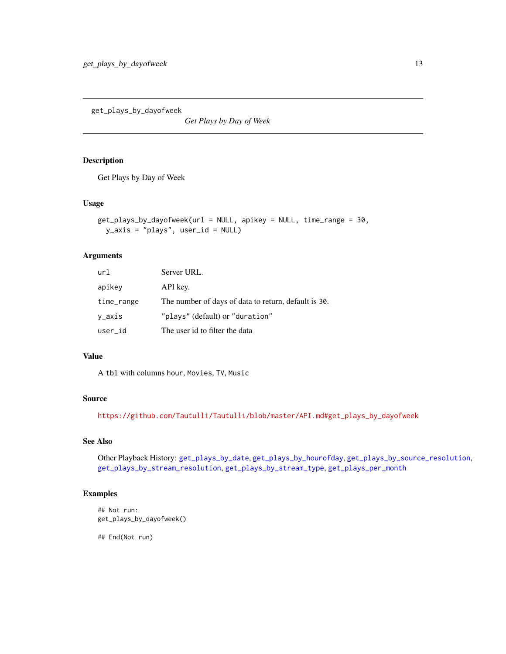<span id="page-12-1"></span><span id="page-12-0"></span>get\_plays\_by\_dayofweek

*Get Plays by Day of Week*

#### Description

Get Plays by Day of Week

## Usage

```
get_plays_by_dayofweek(url = NULL, apikey = NULL, time_range = 30,
 y_axis = "plays", user_id = NULL)
```
## Arguments

| url        | Server URL.                                          |
|------------|------------------------------------------------------|
| apikey     | API key.                                             |
| time_range | The number of days of data to return, default is 30. |
| y_axis     | "plays" (default) or "duration"                      |
| user_id    | The user id to filter the data                       |

# Value

A tbl with columns hour, Movies, TV, Music

#### Source

[https://github.com/Tautulli/Tautulli/blob/master/API.md#get\\_plays\\_by\\_dayofweek](https://github.com/Tautulli/Tautulli/blob/master/API.md#get_plays_by_dayofweek)

# See Also

Other Playback History: [get\\_plays\\_by\\_date](#page-11-1), [get\\_plays\\_by\\_hourofday](#page-13-1), [get\\_plays\\_by\\_source\\_resolution](#page-14-1), [get\\_plays\\_by\\_stream\\_resolution](#page-15-1), [get\\_plays\\_by\\_stream\\_type](#page-16-1), [get\\_plays\\_per\\_month](#page-19-1)

#### Examples

```
## Not run:
get_plays_by_dayofweek()
```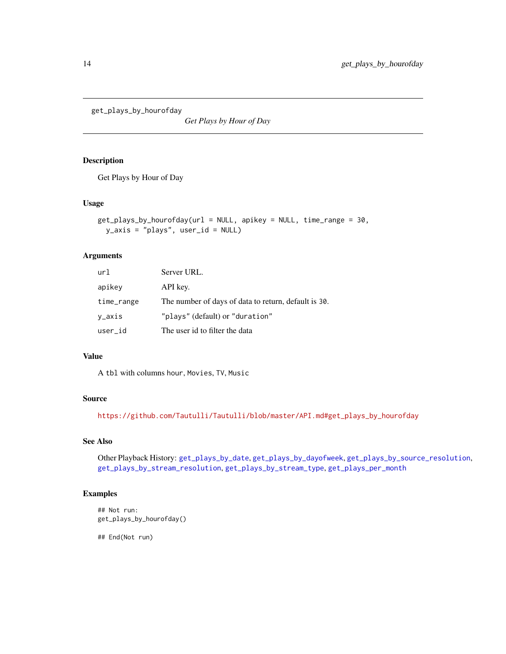<span id="page-13-1"></span><span id="page-13-0"></span>get\_plays\_by\_hourofday

*Get Plays by Hour of Day*

#### Description

Get Plays by Hour of Day

## Usage

```
get_plays_by_hourofday(url = NULL, apikey = NULL, time_range = 30,
 y_axis = "plays", user_id = NULL)
```
#### Arguments

| url        | Server URL.                                          |
|------------|------------------------------------------------------|
| apikey     | API key.                                             |
| time_range | The number of days of data to return, default is 30. |
| y_axis     | "plays" (default) or "duration"                      |
| user_id    | The user id to filter the data                       |

# Value

A tbl with columns hour, Movies, TV, Music

#### Source

[https://github.com/Tautulli/Tautulli/blob/master/API.md#get\\_plays\\_by\\_hourofday](https://github.com/Tautulli/Tautulli/blob/master/API.md#get_plays_by_hourofday)

# See Also

Other Playback History: [get\\_plays\\_by\\_date](#page-11-1), [get\\_plays\\_by\\_dayofweek](#page-12-1), [get\\_plays\\_by\\_source\\_resolution](#page-14-1), [get\\_plays\\_by\\_stream\\_resolution](#page-15-1), [get\\_plays\\_by\\_stream\\_type](#page-16-1), [get\\_plays\\_per\\_month](#page-19-1)

#### Examples

```
## Not run:
get_plays_by_hourofday()
```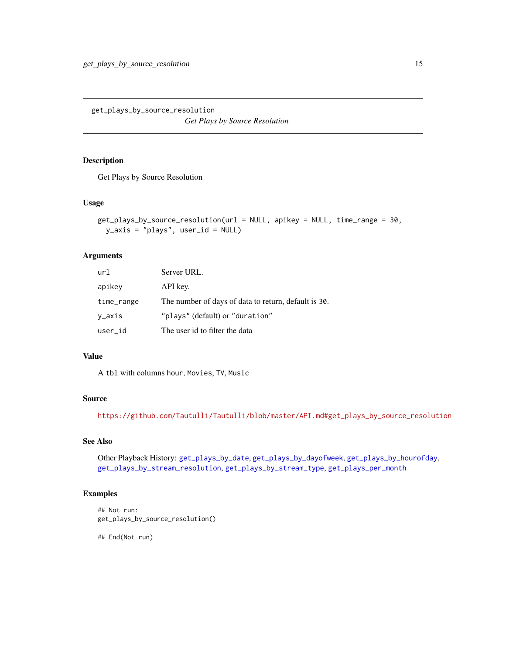<span id="page-14-1"></span><span id="page-14-0"></span>get\_plays\_by\_source\_resolution *Get Plays by Source Resolution*

#### Description

Get Plays by Source Resolution

#### Usage

```
get_plays_by_source_resolution(url = NULL, apikey = NULL, time_range = 30,
 y_axis = "plays", user_id = NULL)
```
#### Arguments

| url        | Server URL.                                          |
|------------|------------------------------------------------------|
| apikey     | API key.                                             |
| time_range | The number of days of data to return, default is 30. |
| y_axis     | "plays" (default) or "duration"                      |
| user_id    | The user id to filter the data                       |

# Value

A tbl with columns hour, Movies, TV, Music

#### Source

[https://github.com/Tautulli/Tautulli/blob/master/API.md#get\\_plays\\_by\\_source\\_resolution](https://github.com/Tautulli/Tautulli/blob/master/API.md#get_plays_by_source_resolution)

# See Also

Other Playback History: [get\\_plays\\_by\\_date](#page-11-1), [get\\_plays\\_by\\_dayofweek](#page-12-1), [get\\_plays\\_by\\_hourofday](#page-13-1), [get\\_plays\\_by\\_stream\\_resolution](#page-15-1), [get\\_plays\\_by\\_stream\\_type](#page-16-1), [get\\_plays\\_per\\_month](#page-19-1)

## Examples

## Not run: get\_plays\_by\_source\_resolution()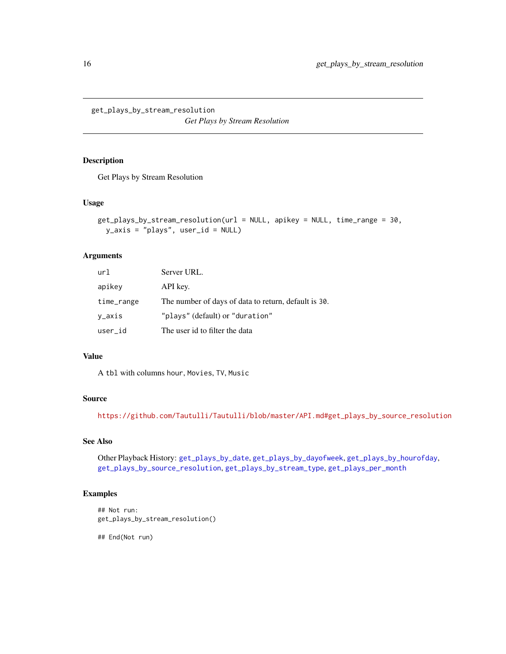<span id="page-15-1"></span><span id="page-15-0"></span>get\_plays\_by\_stream\_resolution

*Get Plays by Stream Resolution*

#### Description

Get Plays by Stream Resolution

#### Usage

```
get_plays_by_stream_resolution(url = NULL, apikey = NULL, time_range = 30,
 y_axis = "plays", user_id = NULL)
```
#### Arguments

| url        | Server URL.                                          |
|------------|------------------------------------------------------|
| apikey     | API key.                                             |
| time_range | The number of days of data to return, default is 30. |
| y_axis     | "plays" (default) or "duration"                      |
| user_id    | The user id to filter the data                       |

# Value

A tbl with columns hour, Movies, TV, Music

#### Source

[https://github.com/Tautulli/Tautulli/blob/master/API.md#get\\_plays\\_by\\_source\\_resolution](https://github.com/Tautulli/Tautulli/blob/master/API.md#get_plays_by_source_resolution)

# See Also

Other Playback History: [get\\_plays\\_by\\_date](#page-11-1), [get\\_plays\\_by\\_dayofweek](#page-12-1), [get\\_plays\\_by\\_hourofday](#page-13-1), [get\\_plays\\_by\\_source\\_resolution](#page-14-1), [get\\_plays\\_by\\_stream\\_type](#page-16-1), [get\\_plays\\_per\\_month](#page-19-1)

## Examples

## Not run: get\_plays\_by\_stream\_resolution()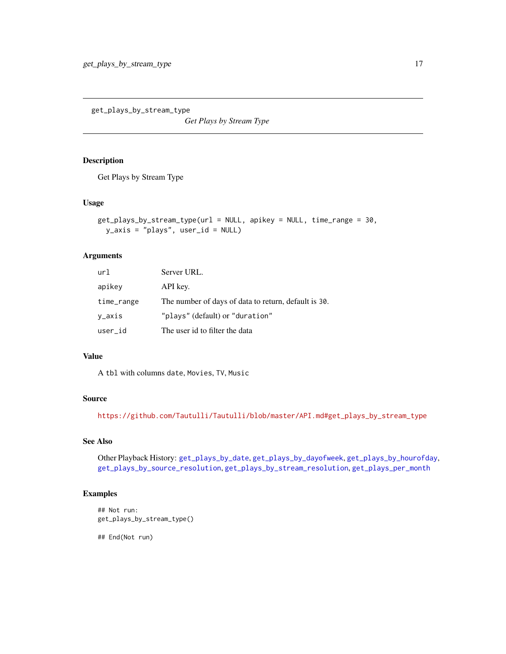<span id="page-16-1"></span><span id="page-16-0"></span>get\_plays\_by\_stream\_type

*Get Plays by Stream Type*

#### Description

Get Plays by Stream Type

#### Usage

```
get_plays_by_stream_type(url = NULL, apikey = NULL, time_range = 30,
 y_axis = "plays", user_id = NULL)
```
#### Arguments

| url        | Server URL.                                          |
|------------|------------------------------------------------------|
| apikey     | API key.                                             |
| time_range | The number of days of data to return, default is 30. |
| y_axis     | "plays" (default) or "duration"                      |
| user_id    | The user id to filter the data                       |

# Value

A tbl with columns date, Movies, TV, Music

#### Source

[https://github.com/Tautulli/Tautulli/blob/master/API.md#get\\_plays\\_by\\_stream\\_type](https://github.com/Tautulli/Tautulli/blob/master/API.md#get_plays_by_stream_type)

# See Also

Other Playback History: [get\\_plays\\_by\\_date](#page-11-1), [get\\_plays\\_by\\_dayofweek](#page-12-1), [get\\_plays\\_by\\_hourofday](#page-13-1), [get\\_plays\\_by\\_source\\_resolution](#page-14-1), [get\\_plays\\_by\\_stream\\_resolution](#page-15-1), [get\\_plays\\_per\\_month](#page-19-1)

#### Examples

```
## Not run:
get_plays_by_stream_type()
```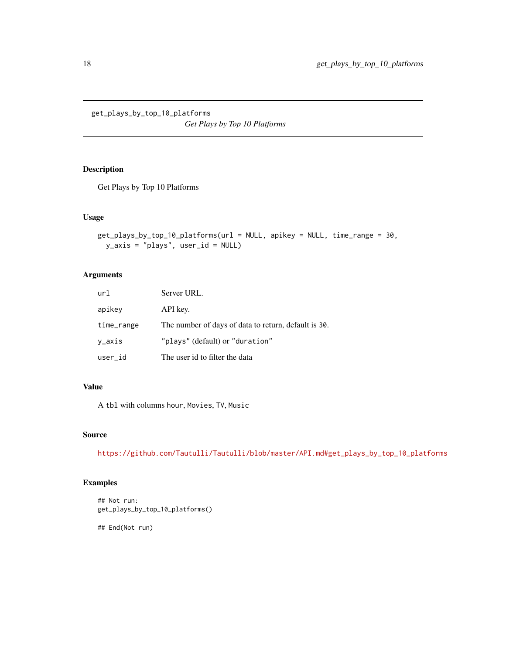<span id="page-17-0"></span>get\_plays\_by\_top\_10\_platforms *Get Plays by Top 10 Platforms*

# Description

Get Plays by Top 10 Platforms

#### Usage

```
get_plays_by_top_10_platforms(url = NULL, apikey = NULL, time_range = 30,
 y_axis = "plays", user_id = NULL)
```
## Arguments

| url        | Server URL.                                          |
|------------|------------------------------------------------------|
| apikey     | API key.                                             |
| time_range | The number of days of data to return, default is 30. |
| y_axis     | "plays" (default) or "duration"                      |
| user_id    | The user id to filter the data                       |

# Value

A tbl with columns hour, Movies, TV, Music

## Source

[https://github.com/Tautulli/Tautulli/blob/master/API.md#get\\_plays\\_by\\_top\\_10\\_platforms](https://github.com/Tautulli/Tautulli/blob/master/API.md#get_plays_by_top_10_platforms)

# Examples

## Not run: get\_plays\_by\_top\_10\_platforms()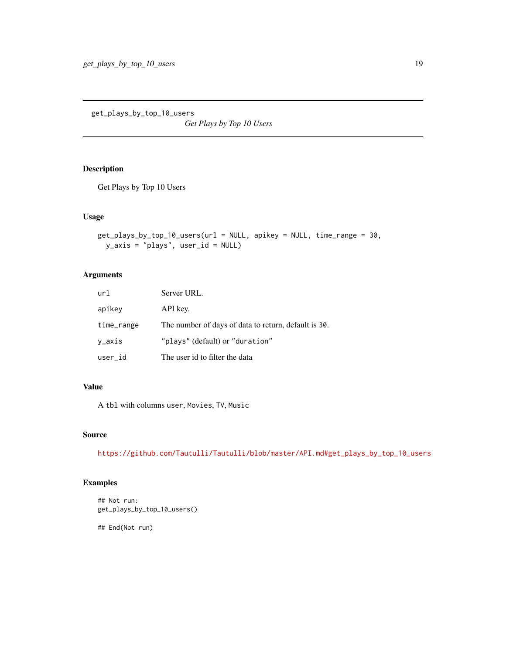<span id="page-18-0"></span>get\_plays\_by\_top\_10\_users *Get Plays by Top 10 Users*

# Description

Get Plays by Top 10 Users

#### Usage

```
get_plays_by_top_10_users(url = NULL, apikey = NULL, time_range = 30,
 y_axis = "plays", user_id = NULL)
```
# Arguments

| url        | Server URL.                                          |
|------------|------------------------------------------------------|
| apikey     | API key.                                             |
| time_range | The number of days of data to return, default is 30. |
| v_axis     | "plays" (default) or "duration"                      |
| user id    | The user id to filter the data                       |

# Value

A tbl with columns user, Movies, TV, Music

## Source

[https://github.com/Tautulli/Tautulli/blob/master/API.md#get\\_plays\\_by\\_top\\_10\\_users](https://github.com/Tautulli/Tautulli/blob/master/API.md#get_plays_by_top_10_users)

# Examples

```
## Not run:
get_plays_by_top_10_users()
```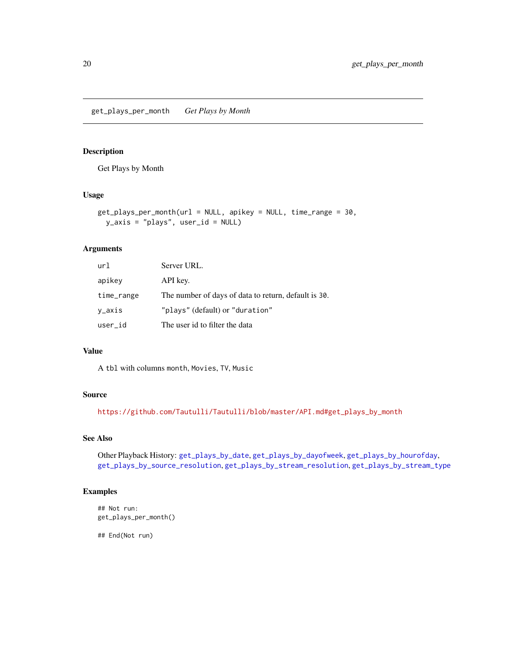<span id="page-19-1"></span><span id="page-19-0"></span>get\_plays\_per\_month *Get Plays by Month*

#### Description

Get Plays by Month

## Usage

```
get_plays_per_month(url = NULL, apikey = NULL, time_range = 30,
 y_axis = "plays", user_id = NULL)
```
#### Arguments

| url        | Server URL.                                          |
|------------|------------------------------------------------------|
| apikey     | API key.                                             |
| time_range | The number of days of data to return, default is 30. |
| y_axis     | "plays" (default) or "duration"                      |
| user_id    | The user id to filter the data                       |

#### Value

A tbl with columns month, Movies, TV, Music

#### Source

[https://github.com/Tautulli/Tautulli/blob/master/API.md#get\\_plays\\_by\\_month](https://github.com/Tautulli/Tautulli/blob/master/API.md#get_plays_by_month)

#### See Also

Other Playback History: [get\\_plays\\_by\\_date](#page-11-1), [get\\_plays\\_by\\_dayofweek](#page-12-1), [get\\_plays\\_by\\_hourofday](#page-13-1), [get\\_plays\\_by\\_source\\_resolution](#page-14-1), [get\\_plays\\_by\\_stream\\_resolution](#page-15-1), [get\\_plays\\_by\\_stream\\_type](#page-16-1)

# Examples

## Not run: get\_plays\_per\_month()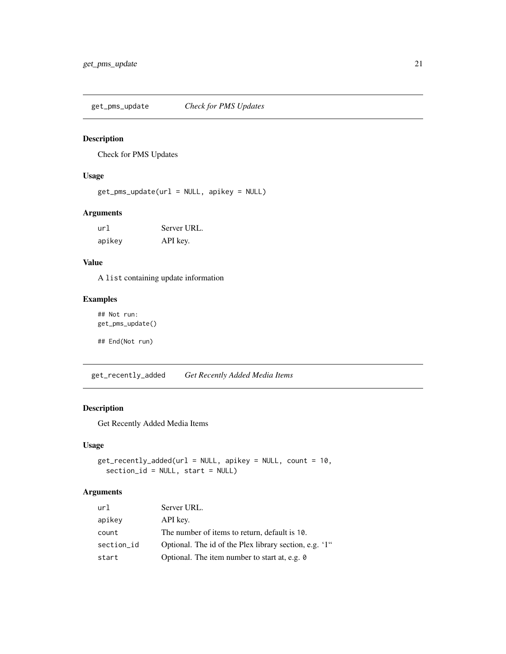<span id="page-20-0"></span>get\_pms\_update *Check for PMS Updates*

#### Description

Check for PMS Updates

#### Usage

get\_pms\_update(url = NULL, apikey = NULL)

## Arguments

| url    | Server URL. |
|--------|-------------|
| apikey | API key.    |

## Value

A list containing update information

# Examples

```
## Not run:
get_pms_update()
```
## End(Not run)

get\_recently\_added *Get Recently Added Media Items*

## Description

Get Recently Added Media Items

## Usage

```
get_recently_added(url = NULL, apikey = NULL, count = 10,
  section_id = NULL, start = NULL)
```
#### Arguments

| url        | Server URL.                                            |
|------------|--------------------------------------------------------|
| apikey     | API key.                                               |
| count      | The number of items to return, default is 10.          |
| section_id | Optional. The id of the Plex library section, e.g. '1" |
| start      | Optional. The item number to start at, e.g. 0          |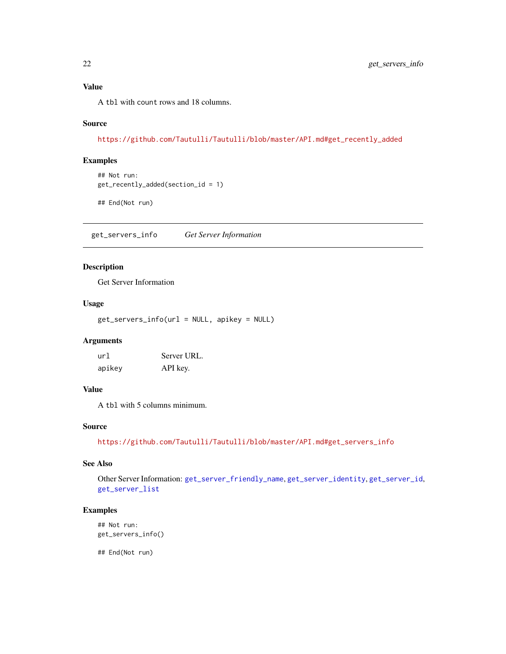<span id="page-21-0"></span>A tbl with count rows and 18 columns.

#### Source

[https://github.com/Tautulli/Tautulli/blob/master/API.md#get\\_recently\\_added](https://github.com/Tautulli/Tautulli/blob/master/API.md#get_recently_added)

#### Examples

```
## Not run:
get_recently_added(section_id = 1)
```
## End(Not run)

<span id="page-21-1"></span>get\_servers\_info *Get Server Information*

#### Description

Get Server Information

#### Usage

get\_servers\_info(url = NULL, apikey = NULL)

# Arguments

| url    | Server URL. |
|--------|-------------|
| apikey | API key.    |

#### Value

A tbl with 5 columns minimum.

## Source

[https://github.com/Tautulli/Tautulli/blob/master/API.md#get\\_servers\\_info](https://github.com/Tautulli/Tautulli/blob/master/API.md#get_servers_info)

#### See Also

Other Server Information: [get\\_server\\_friendly\\_name](#page-22-1), [get\\_server\\_identity](#page-24-1), [get\\_server\\_id](#page-23-1), [get\\_server\\_list](#page-24-2)

#### Examples

```
## Not run:
get_servers_info()
```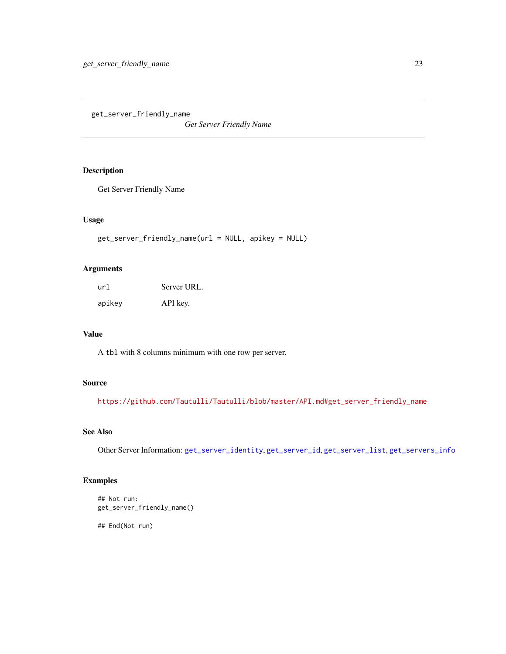<span id="page-22-1"></span><span id="page-22-0"></span>get\_server\_friendly\_name

*Get Server Friendly Name*

## Description

Get Server Friendly Name

#### Usage

```
get_server_friendly_name(url = NULL, apikey = NULL)
```
# Arguments

| url    | Server URL. |
|--------|-------------|
| apikey | API key.    |

#### Value

A tbl with 8 columns minimum with one row per server.

# Source

[https://github.com/Tautulli/Tautulli/blob/master/API.md#get\\_server\\_friendly\\_name](https://github.com/Tautulli/Tautulli/blob/master/API.md#get_server_friendly_name)

# See Also

Other Server Information: [get\\_server\\_identity](#page-24-1), [get\\_server\\_id](#page-23-1), [get\\_server\\_list](#page-24-2), [get\\_servers\\_info](#page-21-1)

# Examples

```
## Not run:
get_server_friendly_name()
```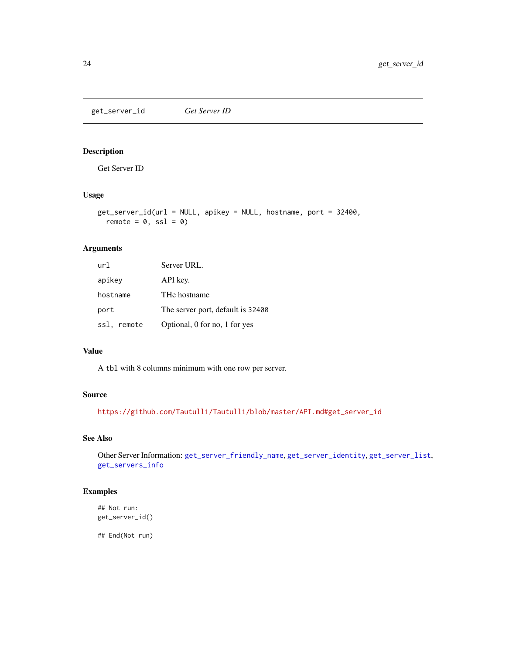<span id="page-23-1"></span><span id="page-23-0"></span>get\_server\_id *Get Server ID*

# Description

Get Server ID

# Usage

```
get_server_id(url = NULL, apikey = NULL, hostname, port = 32400,
  remote = 0, ssl = 0)
```
# Arguments

| url         | Server URL.                       |
|-------------|-----------------------------------|
| apikey      | API key.                          |
| hostname    | THe hostname                      |
| port        | The server port, default is 32400 |
| ssl, remote | Optional, 0 for no, 1 for yes     |

#### Value

A tbl with 8 columns minimum with one row per server.

#### Source

[https://github.com/Tautulli/Tautulli/blob/master/API.md#get\\_server\\_id](https://github.com/Tautulli/Tautulli/blob/master/API.md#get_server_id)

#### See Also

Other Server Information: [get\\_server\\_friendly\\_name](#page-22-1), [get\\_server\\_identity](#page-24-1), [get\\_server\\_list](#page-24-2), [get\\_servers\\_info](#page-21-1)

# Examples

## Not run: get\_server\_id()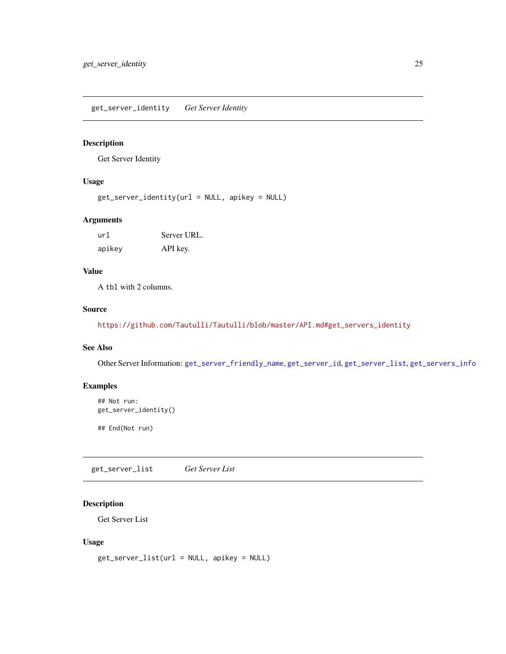<span id="page-24-1"></span><span id="page-24-0"></span>get\_server\_identity *Get Server Identity*

## Description

Get Server Identity

## Usage

get\_server\_identity(url = NULL, apikey = NULL)

#### Arguments

| url    | Server URL. |
|--------|-------------|
| apikey | API key.    |

## Value

A tbl with 2 columns.

## Source

[https://github.com/Tautulli/Tautulli/blob/master/API.md#get\\_servers\\_identity](https://github.com/Tautulli/Tautulli/blob/master/API.md#get_servers_identity)

# See Also

Other Server Information: [get\\_server\\_friendly\\_name](#page-22-1), [get\\_server\\_id](#page-23-1), [get\\_server\\_list](#page-24-2), [get\\_servers\\_info](#page-21-1)

## Examples

```
## Not run:
get_server_identity()
```
## End(Not run)

<span id="page-24-2"></span>get\_server\_list *Get Server List*

# Description

Get Server List

#### Usage

```
get_server_list(url = NULL, apikey = NULL)
```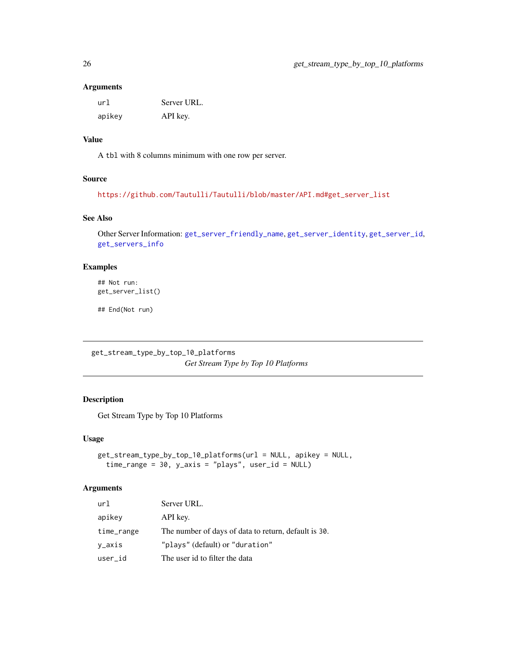#### Arguments

| url    | Server URL. |
|--------|-------------|
| apikey | API key.    |

#### Value

A tbl with 8 columns minimum with one row per server.

# Source

```
https://github.com/Tautulli/Tautulli/blob/master/API.md#get_server_list
```
# See Also

Other Server Information: [get\\_server\\_friendly\\_name](#page-22-1), [get\\_server\\_identity](#page-24-1), [get\\_server\\_id](#page-23-1), [get\\_servers\\_info](#page-21-1)

## Examples

## Not run: get\_server\_list()

## End(Not run)

get\_stream\_type\_by\_top\_10\_platforms *Get Stream Type by Top 10 Platforms*

# Description

Get Stream Type by Top 10 Platforms

#### Usage

```
get_stream_type_by_top_10_platforms(url = NULL, apikey = NULL,
  time_range = 30, y_axis = "plays", user_id = NULL)
```
## Arguments

| url        | Server URL.                                          |
|------------|------------------------------------------------------|
| apikey     | API key.                                             |
| time_range | The number of days of data to return, default is 30. |
| v_axis     | "plays" (default) or "duration"                      |
| user_id    | The user id to filter the data                       |

<span id="page-25-0"></span>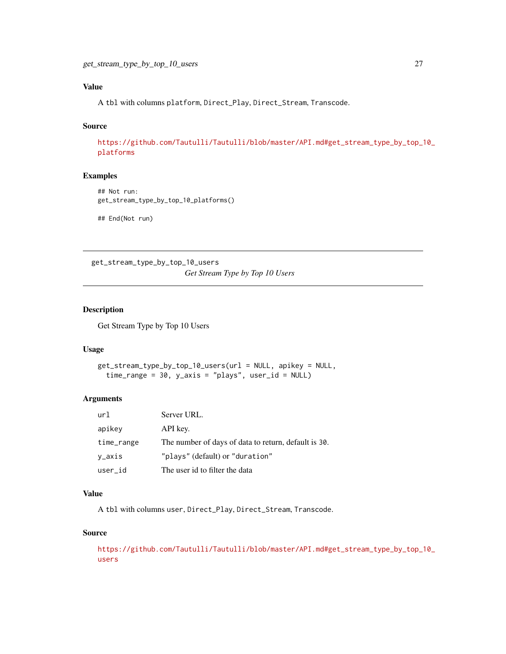# <span id="page-26-0"></span>Value

A tbl with columns platform, Direct\_Play, Direct\_Stream, Transcode.

#### Source

[https://github.com/Tautulli/Tautulli/blob/master/API.md#get\\_stream\\_type\\_by\\_top\\_1](https://github.com/Tautulli/Tautulli/blob/master/API.md#get_stream_type_by_top_10_platforms)0\_ [platforms](https://github.com/Tautulli/Tautulli/blob/master/API.md#get_stream_type_by_top_10_platforms)

## Examples

```
## Not run:
get_stream_type_by_top_10_platforms()
```
## End(Not run)

get\_stream\_type\_by\_top\_10\_users *Get Stream Type by Top 10 Users*

#### Description

Get Stream Type by Top 10 Users

## Usage

```
get_stream_type_by_top_10_users(url = NULL, apikey = NULL,
  time_range = 30, y_axis = "plays", user_id = NULL)
```
#### Arguments

| url        | Server URL.                                          |
|------------|------------------------------------------------------|
| apikey     | API key.                                             |
| time_range | The number of days of data to return, default is 30. |
| y_axis     | "plays" (default) or "duration"                      |
| user_id    | The user id to filter the data                       |

# Value

A tbl with columns user, Direct\_Play, Direct\_Stream, Transcode.

#### Source

```
https://github.com/Tautulli/Tautulli/blob/master/API.md#get_stream_type_by_top_10_
users
```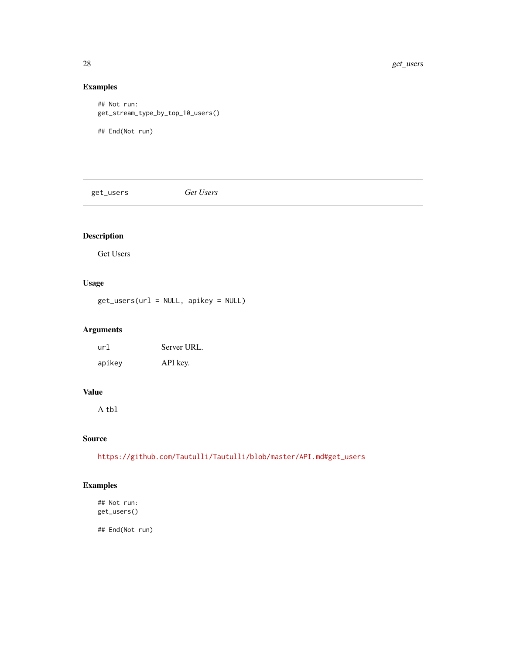# Examples

```
## Not run:
get_stream_type_by_top_10_users()
## End(Not run)
```
get\_users *Get Users*

# Description

Get Users

# Usage

get\_users(url = NULL, apikey = NULL)

## Arguments

| url    | Server URL. |
|--------|-------------|
| apikey | API key.    |

# Value

A tbl

#### Source

[https://github.com/Tautulli/Tautulli/blob/master/API.md#get\\_users](https://github.com/Tautulli/Tautulli/blob/master/API.md#get_users)

# Examples

## Not run: get\_users()

<span id="page-27-0"></span>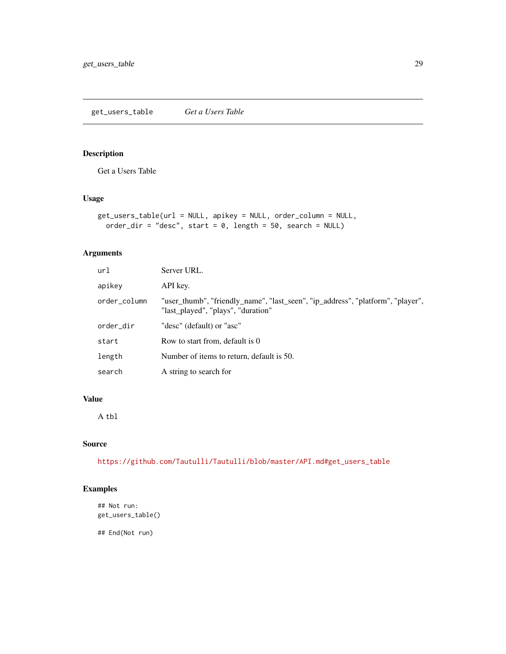## <span id="page-28-0"></span>Description

Get a Users Table

## Usage

```
get_users_table(url = NULL, apikey = NULL, order_column = NULL,
 order_dir = "desc", start = 0, length = 50, search = NULL)
```
## Arguments

| url          | Server URL.                                                                                                           |
|--------------|-----------------------------------------------------------------------------------------------------------------------|
| apikey       | API key.                                                                                                              |
| order_column | "user_thumb", "friendly_name", "last_seen", "ip_address", "platform", "player",<br>"last_played", "plays", "duration" |
| order_dir    | "desc" (default) or "asc"                                                                                             |
| start        | Row to start from, default is 0                                                                                       |
| length       | Number of items to return, default is 50.                                                                             |
| search       | A string to search for                                                                                                |

# Value

A tbl

## Source

[https://github.com/Tautulli/Tautulli/blob/master/API.md#get\\_users\\_table](https://github.com/Tautulli/Tautulli/blob/master/API.md#get_users_table)

## Examples

```
## Not run:
get_users_table()
```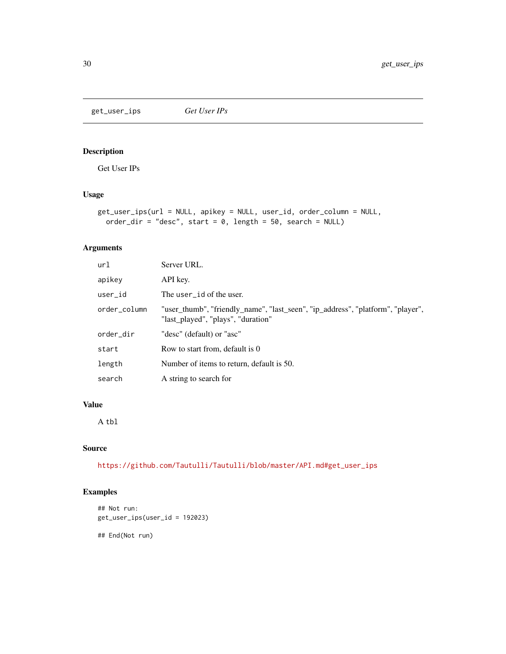<span id="page-29-0"></span>get\_user\_ips *Get User IPs*

# Description

Get User IPs

## Usage

```
get_user_ips(url = NULL, apikey = NULL, user_id, order_column = NULL,
 order_dir = "desc", start = 0, length = 50, search = NULL)
```
## Arguments

| url          | Server URL.                                                                                                           |
|--------------|-----------------------------------------------------------------------------------------------------------------------|
| apikey       | API key.                                                                                                              |
| user id      | The user id of the user.                                                                                              |
| order_column | "user_thumb", "friendly_name", "last_seen", "ip_address", "platform", "player",<br>"last played", "plays", "duration" |
| order_dir    | "desc" (default) or "asc"                                                                                             |
| start        | Row to start from, default is 0                                                                                       |
| length       | Number of items to return, default is 50.                                                                             |
| search       | A string to search for                                                                                                |

# Value

A tbl

## Source

[https://github.com/Tautulli/Tautulli/blob/master/API.md#get\\_user\\_ips](https://github.com/Tautulli/Tautulli/blob/master/API.md#get_user_ips)

# Examples

```
## Not run:
get_user_ips(user_id = 192023)
```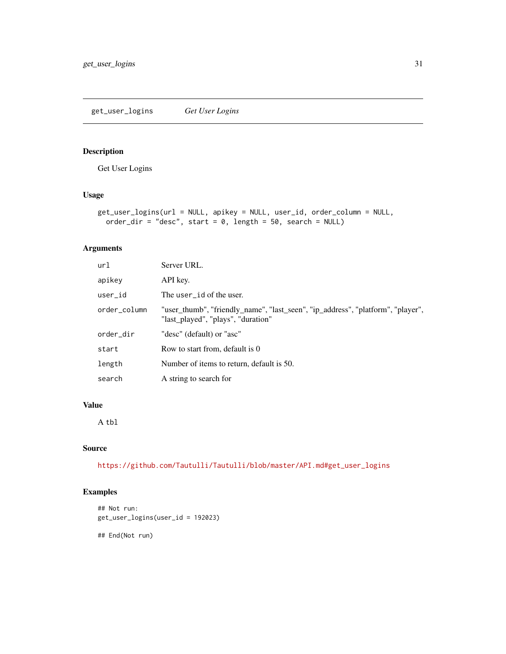# <span id="page-30-0"></span>Description

Get User Logins

# Usage

```
get_user_logins(url = NULL, apikey = NULL, user_id, order_column = NULL,
 order_dir = "desc", start = 0, length = 50, search = NULL)
```
## Arguments

| url          | Server URL.                                                                                                           |
|--------------|-----------------------------------------------------------------------------------------------------------------------|
| apikey       | API key.                                                                                                              |
| user id      | The user_id of the user.                                                                                              |
| order_column | "user_thumb", "friendly_name", "last_seen", "ip_address", "platform", "player",<br>"last played", "plays", "duration" |
| order_dir    | "desc" (default) or "asc"                                                                                             |
| start        | Row to start from, default is 0                                                                                       |
| length       | Number of items to return, default is 50.                                                                             |
| search       | A string to search for                                                                                                |

# Value

A tbl

## Source

[https://github.com/Tautulli/Tautulli/blob/master/API.md#get\\_user\\_logins](https://github.com/Tautulli/Tautulli/blob/master/API.md#get_user_logins)

# Examples

```
## Not run:
get_user_logins(user_id = 192023)
```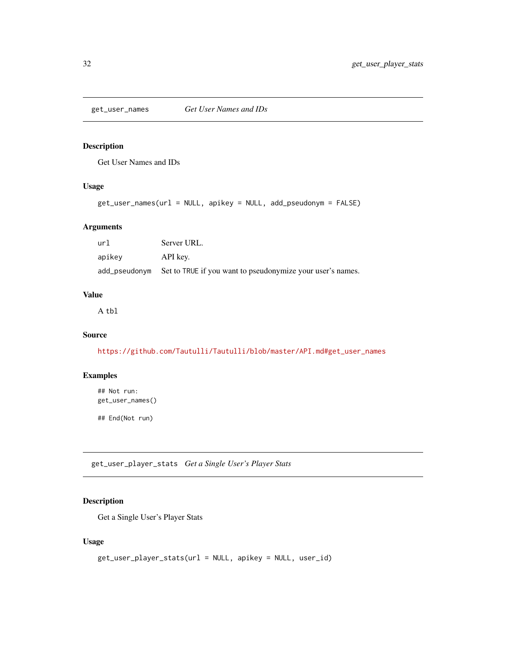<span id="page-31-1"></span><span id="page-31-0"></span>get\_user\_names *Get User Names and IDs*

#### Description

Get User Names and IDs

# Usage

```
get_user_names(url = NULL, apikey = NULL, add_pseudonym = FALSE)
```
## Arguments

| url    | Server URL.                                                              |
|--------|--------------------------------------------------------------------------|
| apikey | API key.                                                                 |
|        | add_pseudonym Set to TRUE if you want to pseudonymize your user's names. |

# Value

A tbl

# Source

[https://github.com/Tautulli/Tautulli/blob/master/API.md#get\\_user\\_names](https://github.com/Tautulli/Tautulli/blob/master/API.md#get_user_names)

## Examples

## Not run: get\_user\_names()

## End(Not run)

get\_user\_player\_stats *Get a Single User's Player Stats*

#### Description

Get a Single User's Player Stats

#### Usage

```
get_user_player_stats(url = NULL, apikey = NULL, user_id)
```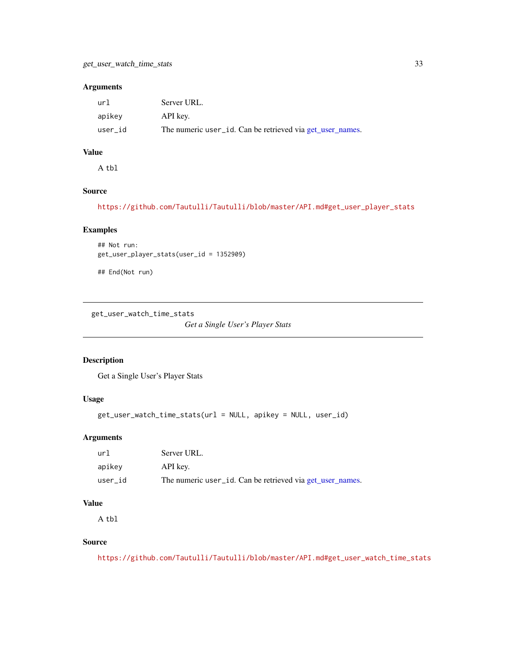#### <span id="page-32-0"></span>Arguments

| url     | Server URL.                                               |
|---------|-----------------------------------------------------------|
| apikey  | API key.                                                  |
| user id | The numeric user_id. Can be retrieved via get_user_names. |

# Value

A tbl

# Source

[https://github.com/Tautulli/Tautulli/blob/master/API.md#get\\_user\\_player\\_stats](https://github.com/Tautulli/Tautulli/blob/master/API.md#get_user_player_stats)

## Examples

```
## Not run:
get_user_player_stats(user_id = 1352909)
```
## End(Not run)

get\_user\_watch\_time\_stats

*Get a Single User's Player Stats*

#### Description

Get a Single User's Player Stats

#### Usage

```
get_user_watch_time_stats(url = NULL, apikey = NULL, user_id)
```
#### Arguments

| url     | Server URL.                                               |
|---------|-----------------------------------------------------------|
| apikey  | API key.                                                  |
| user id | The numeric user_id. Can be retrieved via get_user_names. |

#### Value

A tbl

#### Source

[https://github.com/Tautulli/Tautulli/blob/master/API.md#get\\_user\\_watch\\_time\\_stats](https://github.com/Tautulli/Tautulli/blob/master/API.md#get_user_watch_time_stats)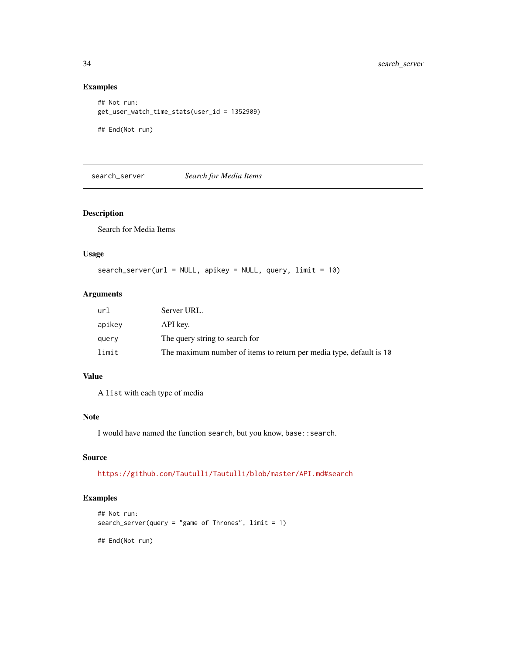#### Examples

```
## Not run:
get_user_watch_time_stats(user_id = 1352909)
```
## End(Not run)

search\_server *Search for Media Items*

# Description

Search for Media Items

## Usage

```
search_server(url = NULL, apikey = NULL, query, limit = 10)
```
## Arguments

| url    | Server URL.                                                         |
|--------|---------------------------------------------------------------------|
| apikev | API key.                                                            |
| query  | The query string to search for                                      |
| limit  | The maximum number of items to return per media type, default is 10 |

#### Value

A list with each type of media

#### Note

I would have named the function search, but you know, base::search.

# Source

<https://github.com/Tautulli/Tautulli/blob/master/API.md#search>

## Examples

```
## Not run:
search_server(query = "game of Thrones", limit = 1)
## End(Not run)
```
<span id="page-33-0"></span>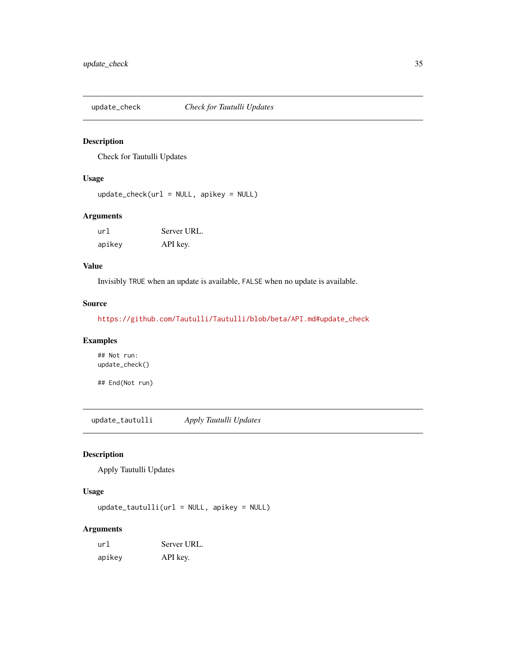<span id="page-34-0"></span>

## Description

Check for Tautulli Updates

#### Usage

 $update\_check(url = NULL, apikey = NULL)$ 

## Arguments

| url    | Server URL. |
|--------|-------------|
| apikev | API key.    |

## Value

Invisibly TRUE when an update is available, FALSE when no update is available.

#### Source

[https://github.com/Tautulli/Tautulli/blob/beta/API.md#update\\_check](https://github.com/Tautulli/Tautulli/blob/beta/API.md#update_check)

# Examples

## Not run: update\_check()

## End(Not run)

update\_tautulli *Apply Tautulli Updates*

# Description

Apply Tautulli Updates

#### Usage

update\_tautulli(url = NULL, apikey = NULL)

#### Arguments

| url    | Server URL. |
|--------|-------------|
| apikey | API key.    |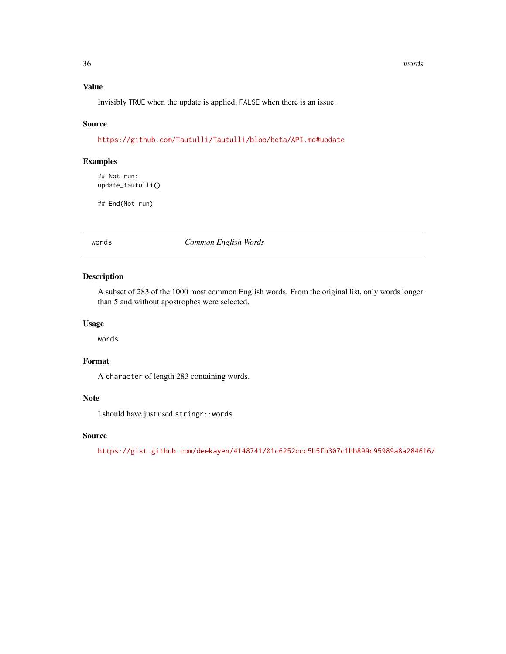#### <span id="page-35-0"></span>36 words

#### Value

Invisibly TRUE when the update is applied, FALSE when there is an issue.

#### Source

```
https://github.com/Tautulli/Tautulli/blob/beta/API.md#update
```
## Examples

## Not run: update\_tautulli()

## End(Not run)

words *Common English Words*

## Description

A subset of 283 of the 1000 most common English words. From the original list, only words longer than 5 and without apostrophes were selected.

#### Usage

words

# Format

A character of length 283 containing words.

#### Note

I should have just used stringr::words

## Source

<https://gist.github.com/deekayen/4148741/01c6252ccc5b5fb307c1bb899c95989a8a284616/>